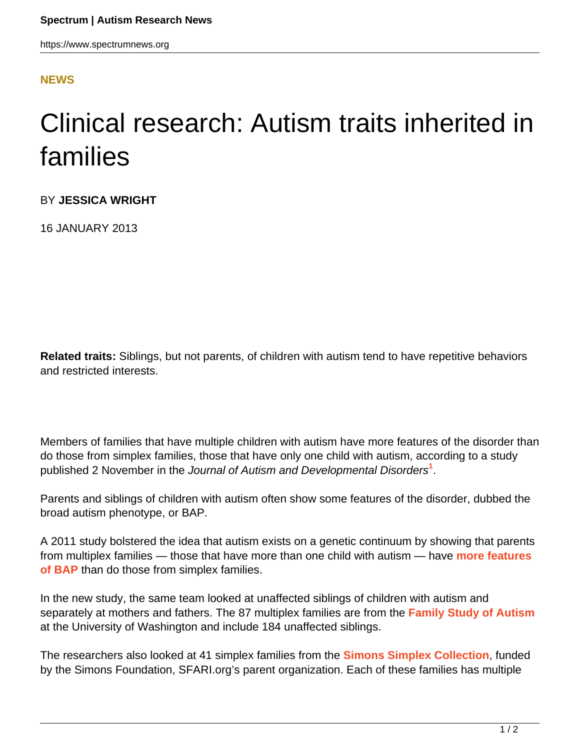<span id="page-0-0"></span>https://www.spectrumnews.org

## **[NEWS](HTTPS://WWW.SPECTRUMNEWS.ORG/NEWS/)**

## Clinical research: Autism traits inherited in families

BY **JESSICA WRIGHT**

16 JANUARY 2013

**Related traits:** Siblings, but not parents, of children with autism tend to have repetitive behaviors and restricted interests.

Members of families that have multiple children with autism have more features of the disorder than do those from simplex families, those that have only one child with autism, according to a study published 2 November in the Journal of Autism and Developmental Disorders**[1](#page-0-0)** .

Parents and siblings of children with autism often show some features of the disorder, dubbed the broad autism phenotype, or BAP.

A 2011 study bolstered the idea that autism exists on a genetic continuum by showing that parents from multiplex families — those that have more than one child with autism — have **[more features](../2011/clinical-research-parents-share-some-autism-traits) [of BAP](../2011/clinical-research-parents-share-some-autism-traits)** than do those from simplex families.

In the new study, the same team looked at unaffected siblings of children with autism and separately at mothers and fathers. The 87 multiplex families are from the **[Family Study of Autism](http://depts.washington.edu/uwautism/research/families.html)** at the University of Washington and include 184 unaffected siblings.

The researchers also looked at 41 simplex families from the **[Simons Simplex Collection](../../../sfari-initiatives/simons-simplex-collection)**, funded by the Simons Foundation, SFARI.org's parent organization. Each of these families has multiple